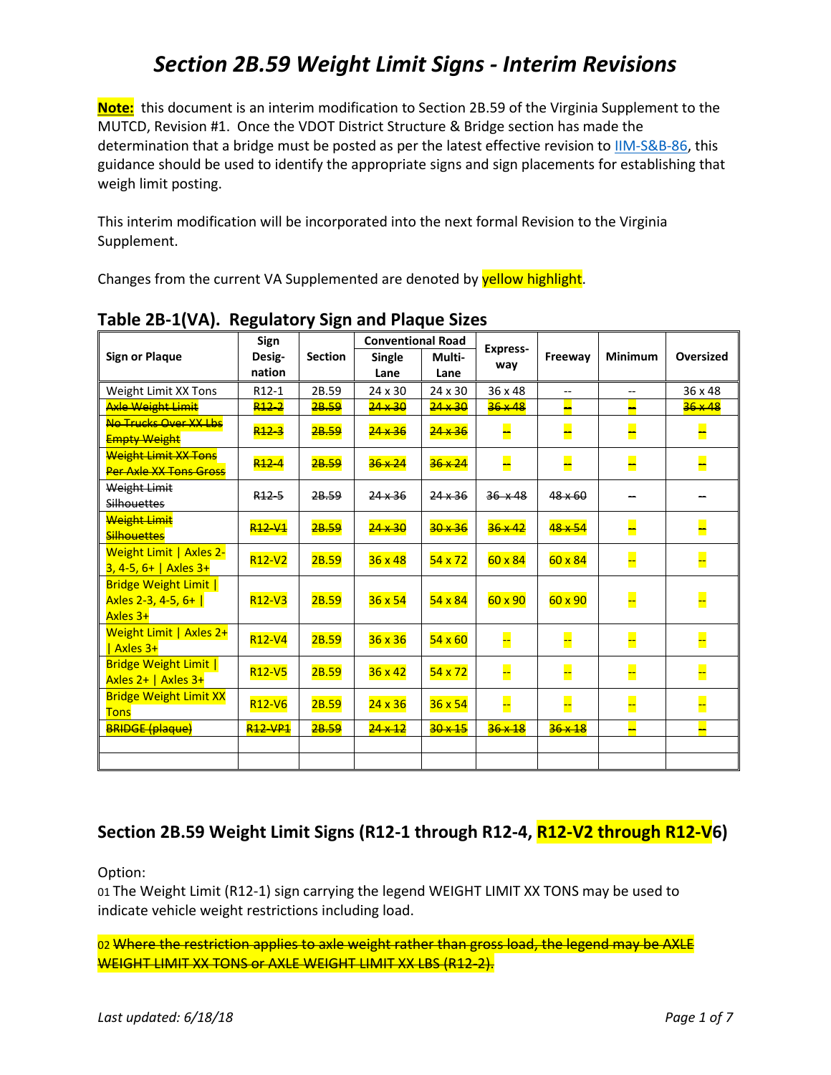**Note:** this document is an interim modification to Section 2B.59 of the Virginia Supplement to the MUTCD, Revision #1. Once the VDOT District Structure & Bridge section has made the determination that a bridge must be posted as per the latest effective revision to [IIM-S&B-86,](http://www.virginiadot.org/business/bridge-ii-memoranda-index.asp) this guidance should be used to identify the appropriate signs and sign placements for establishing that weigh limit posting.

This interim modification will be incorporated into the next formal Revision to the Virginia Supplement.

Changes from the current VA Supplemented are denoted by **yellow highlight**.

| <b>Sign or Plaque</b>         | Sign                            | <b>Section</b> | <b>Conventional Road</b> |                |                        |                |                |                  |
|-------------------------------|---------------------------------|----------------|--------------------------|----------------|------------------------|----------------|----------------|------------------|
|                               | Desig-                          |                | Single                   | Multi-         | <b>Express-</b><br>way | Freeway        | <b>Minimum</b> | <b>Oversized</b> |
|                               | nation                          |                | Lane                     | Lane           |                        |                |                |                  |
| Weight Limit XX Tons          | R12-1                           | 2B.59          | 24 x 30                  | 24 x 30        | 36 x 48                | $-$            | --             | 36 x 48          |
| <b>Axle Weight Limit</b>      | R <sub>12-2</sub>               | 2B.59          | $24 \times 30$           | $24 \times 30$ | $36 \times 48$         |                |                | $36 \times 48$   |
| No Trucks Over XX Lbs         | R <sub>12</sub> 3               | 2B.59          | 24 x 36                  | $24 \times 36$ | H                      | ┡              |                |                  |
| <b>Empty Weight</b>           |                                 |                |                          |                |                        |                |                |                  |
| <b>Weight Limit XX Tons</b>   | R <sub>12</sub> -4              | 2B.59          | $36 \times 24$           | 36 x 24        | F                      | L              | −              |                  |
| <b>Per Axle XX Tons Gross</b> |                                 |                |                          |                |                        |                |                |                  |
| Weight Limit                  | $R12 - 5$                       | 28.59          | $24 \times 36$           | $24 \times 36$ | $36 \times 48$         | $48 \times 60$ |                |                  |
| <b>Silhouettes</b>            |                                 |                |                          |                |                        |                |                |                  |
| <b>Weight Limit</b>           | R <sub>12</sub> -V <sub>1</sub> | 2B.59          | 24 x 30                  | $30 \times 36$ | $36 \times 42$         | 48 x 54        | ═              |                  |
| <b>Silhouettes</b>            |                                 |                |                          |                |                        |                |                |                  |
| Weight Limit   Axles 2-       | R <sub>12</sub> -V <sub>2</sub> | 2B.59          | 36x48                    | $54 \times 72$ | $60 \times 84$         | $60 \times 84$ | Ļ.             |                  |
| $3, 4-5, 6+$   Axles 3+       |                                 |                |                          |                |                        |                |                |                  |
| <b>Bridge Weight Limit  </b>  |                                 |                |                          |                |                        |                |                |                  |
| Axles 2-3, 4-5, 6+            | R <sub>12</sub> -V <sub>3</sub> | 2B.59          | $36 \times 54$           | $54 \times 84$ | $60 \times 90$         | $60 \times 90$ | Ļ.             |                  |
| Axles 3+                      |                                 |                |                          |                |                        |                |                |                  |
| Weight Limit   Axles 2+       | R12-V4                          | 2B.59          | $36 \times 36$           | $54 \times 60$ | --                     | F              | Ļ.             |                  |
| Axles 3+                      |                                 |                |                          |                |                        |                |                |                  |
| <b>Bridge Weight Limit  </b>  | R <sub>12</sub> -V <sub>5</sub> | 2B.59          | 36x42                    | $54 \times 72$ | --                     | μ              | Ļ.             |                  |
| Axles $2+$   Axles $3+$       |                                 |                |                          |                |                        |                |                |                  |
| <b>Bridge Weight Limit XX</b> | R12-V6                          | 2B.59          | 24x36                    | 36x54          |                        | ļ.             | <u>--</u>      |                  |
| <b>Tons</b>                   |                                 |                |                          |                |                        |                |                |                  |
| <b>BRIDGE (plaque)</b>        | <b>R12-VP1</b>                  | 2B.59          | $24 \times 12$           | $30 \times 15$ | $36 \times 18$         | $36 \times 18$ | ц              |                  |
|                               |                                 |                |                          |                |                        |                |                |                  |
|                               |                                 |                |                          |                |                        |                |                |                  |

### **Table 2B-1(VA). Regulatory Sign and Plaque Sizes**

### **Section 2B.59 Weight Limit Signs (R12-1 through R12-4, R12-V2 through R12-V6)**

Option:

01 The Weight Limit (R12-1) sign carrying the legend WEIGHT LIMIT XX TONS may be used to indicate vehicle weight restrictions including load.

02 Where the restriction applies to axle weight rather than gross load, the legend may be AXLE WEIGHT LIMIT XX TONS or AXLE WEIGHT LIMIT XX LBS (R12-2).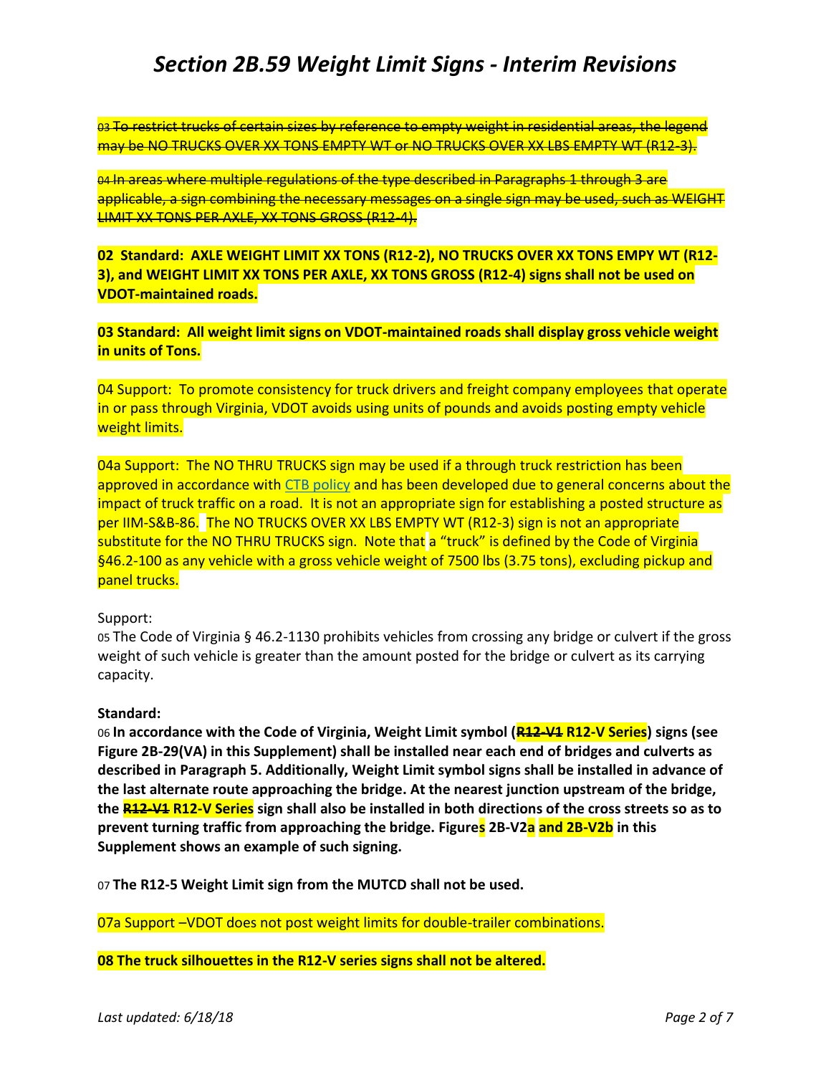03 To restrict trucks of certain sizes by reference to empty weight in residential areas, the legend may be NO TRUCKS OVER XX TONS EMPTY WT or NO TRUCKS OVER XX LBS EMPTY WT (R12-3).

04 In areas where multiple regulations of the type described in Paragraphs 1 through 3 are applicable, a sign combining the necessary messages on a single sign may be used, such as WEIGHT LIMIT XX TONS PER AXLE, XX TONS GROSS (R12-4).

**02 Standard: AXLE WEIGHT LIMIT XX TONS (R12-2), NO TRUCKS OVER XX TONS EMPY WT (R12- 3), and WEIGHT LIMIT XX TONS PER AXLE, XX TONS GROSS (R12-4) signs shall not be used on VDOT-maintained roads.**

**03 Standard: All weight limit signs on VDOT-maintained roads shall display gross vehicle weight in units of Tons.**

04 Support: To promote consistency for truck drivers and freight company employees that operate in or pass through Virginia, VDOT avoids using units of pounds and avoids posting empty vehicle weight limits.

04a Support: The NO THRU TRUCKS sign may be used if a through truck restriction has been approved in accordance with [CTB policy](http://www.virginiadot.org/programs/resources/TTRGUIDELINE101603.pdf) and has been developed due to general concerns about the impact of truck traffic on a road. It is not an appropriate sign for establishing a posted structure as per IIM-S&B-86. The NO TRUCKS OVER XX LBS EMPTY WT (R12-3) sign is not an appropriate substitute for the NO THRU TRUCKS sign. Note that a "truck" is defined by the Code of Virginia §46.2-100 as any vehicle with a gross vehicle weight of 7500 lbs (3.75 tons), excluding pickup and panel trucks.

#### Support:

05 The Code of Virginia § 46.2-1130 prohibits vehicles from crossing any bridge or culvert if the gross weight of such vehicle is greater than the amount posted for the bridge or culvert as its carrying capacity.

#### **Standard:**

06 **In accordance with the Code of Virginia, Weight Limit symbol (R12-V1 R12-V Series) signs (see Figure 2B-29(VA) in this Supplement) shall be installed near each end of bridges and culverts as described in Paragraph 5. Additionally, Weight Limit symbol signs shall be installed in advance of the last alternate route approaching the bridge. At the nearest junction upstream of the bridge, the R12-V1 R12-V Series sign shall also be installed in both directions of the cross streets so as to prevent turning traffic from approaching the bridge. Figures 2B-V2a and 2B-V2b in this Supplement shows an example of such signing.** 

07 **The R12-5 Weight Limit sign from the MUTCD shall not be used.**

07a Support –VDOT does not post weight limits for double-trailer combinations.

**08 The truck silhouettes in the R12-V series signs shall not be altered.**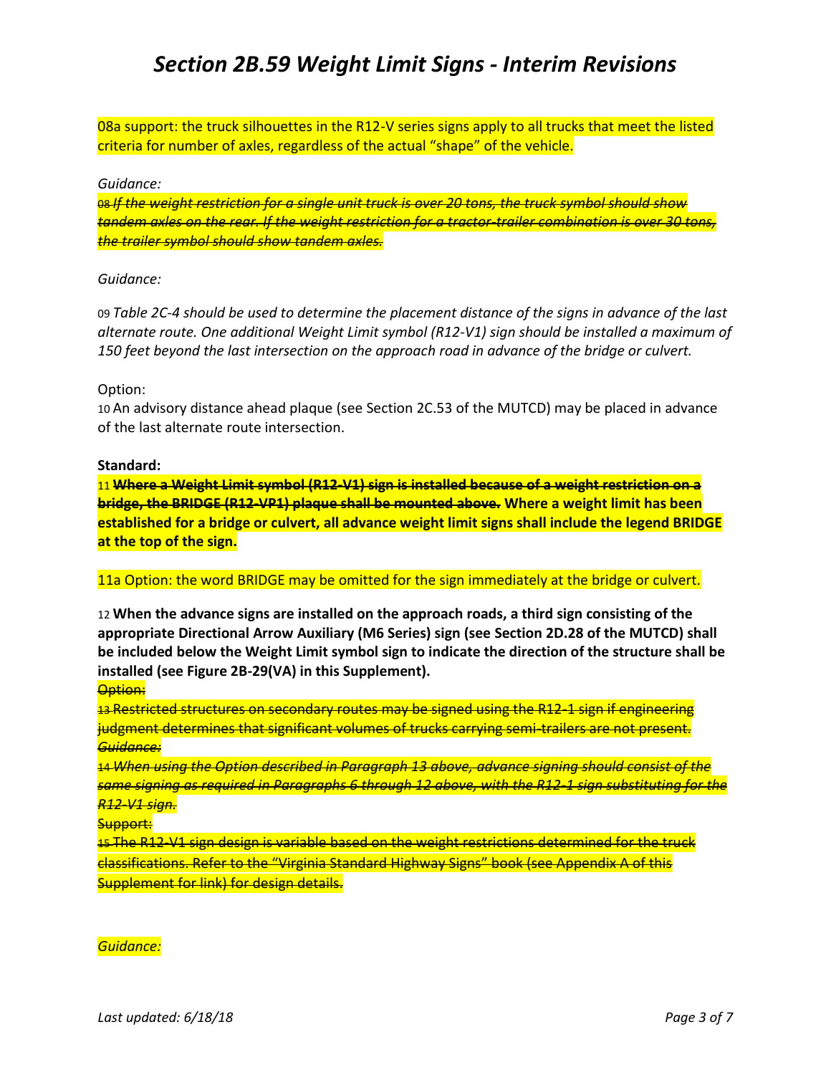08a support: the truck silhouettes in the R12-V series signs apply to all trucks that meet the listed criteria for number of axles, regardless of the actual "shape" of the vehicle.

#### *Guidance:*

08 *If the weight restriction for a single unit truck is over 20 tons, the truck symbol should show tandem axles on the rear. If the weight restriction for a tractor-trailer combination is over 30 tons, the trailer symbol should show tandem axles.*

#### *Guidance:*

09 *Table 2C-4 should be used to determine the placement distance of the signs in advance of the last alternate route. One additional Weight Limit symbol (R12-V1) sign should be installed a maximum of 150 feet beyond the last intersection on the approach road in advance of the bridge or culvert.* 

#### Option:

10 An advisory distance ahead plaque (see Section 2C.53 of the MUTCD) may be placed in advance of the last alternate route intersection.

#### **Standard:**

11 **Where a Weight Limit symbol (R12-V1) sign is installed because of a weight restriction on a bridge, the BRIDGE (R12-VP1) plaque shall be mounted above. Where a weight limit has been established for a bridge or culvert, all advance weight limit signs shall include the legend BRIDGE at the top of the sign.**

11a Option: the word BRIDGE may be omitted for the sign immediately at the bridge or culvert.

12 **When the advance signs are installed on the approach roads, a third sign consisting of the appropriate Directional Arrow Auxiliary (M6 Series) sign (see Section 2D.28 of the MUTCD) shall be included below the Weight Limit symbol sign to indicate the direction of the structure shall be installed (see Figure 2B-29(VA) in this Supplement).** 

#### **Option:**

13 Restricted structures on secondary routes may be signed using the R12-1 sign if engineering judgment determines that significant volumes of trucks carrying semi-trailers are not present. *Guidance:* 

14 *When using the Option described in Paragraph 13 above, advance signing should consist of the same signing as required in Paragraphs 6 through 12 above, with the R12-1 sign substituting for the R12-V1 sign.* 

Support:

15 The R12-V1 sign design is variable based on the weight restrictions determined for the truck classifications. Refer to the "Virginia Standard Highway Signs" book (see Appendix A of this Supplement for link) for design details.

#### *Guidance:*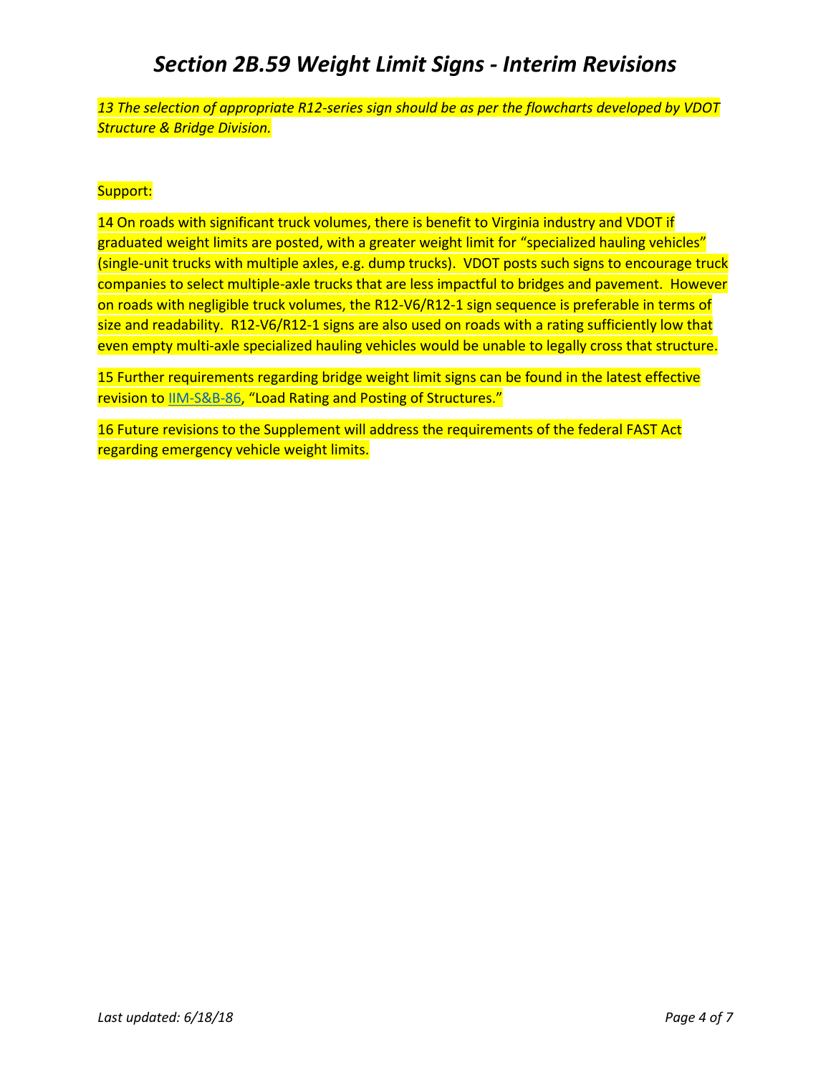*13 The selection of appropriate R12-series sign should be as per the flowcharts developed by VDOT Structure & Bridge Division.*

### Support:

14 On roads with significant truck volumes, there is benefit to Virginia industry and VDOT if graduated weight limits are posted, with a greater weight limit for "specialized hauling vehicles" (single-unit trucks with multiple axles, e.g. dump trucks). VDOT posts such signs to encourage truck companies to select multiple-axle trucks that are less impactful to bridges and pavement. However on roads with negligible truck volumes, the R12-V6/R12-1 sign sequence is preferable in terms of size and readability. R12-V6/R12-1 signs are also used on roads with a rating sufficiently low that even empty multi-axle specialized hauling vehicles would be unable to legally cross that structure.

15 Further requirements regarding bridge weight limit signs can be found in the latest effective revision to [IIM-S&B-86](http://www.virginiadot.org/business/bridge-ii-memoranda-index.asp), "Load Rating and Posting of Structures."

16 Future revisions to the Supplement will address the requirements of the federal FAST Act regarding emergency vehicle weight limits.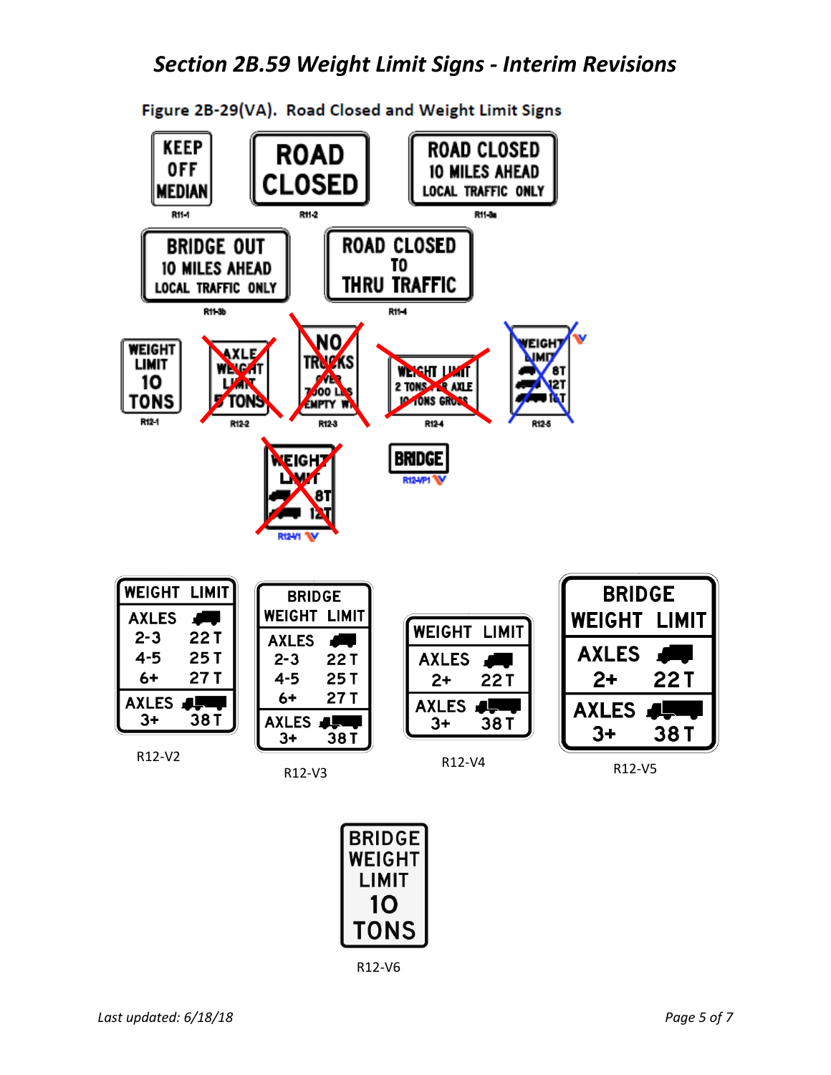

Figure 2B-29(VA). Road Closed and Weight Limit Signs



R12-V6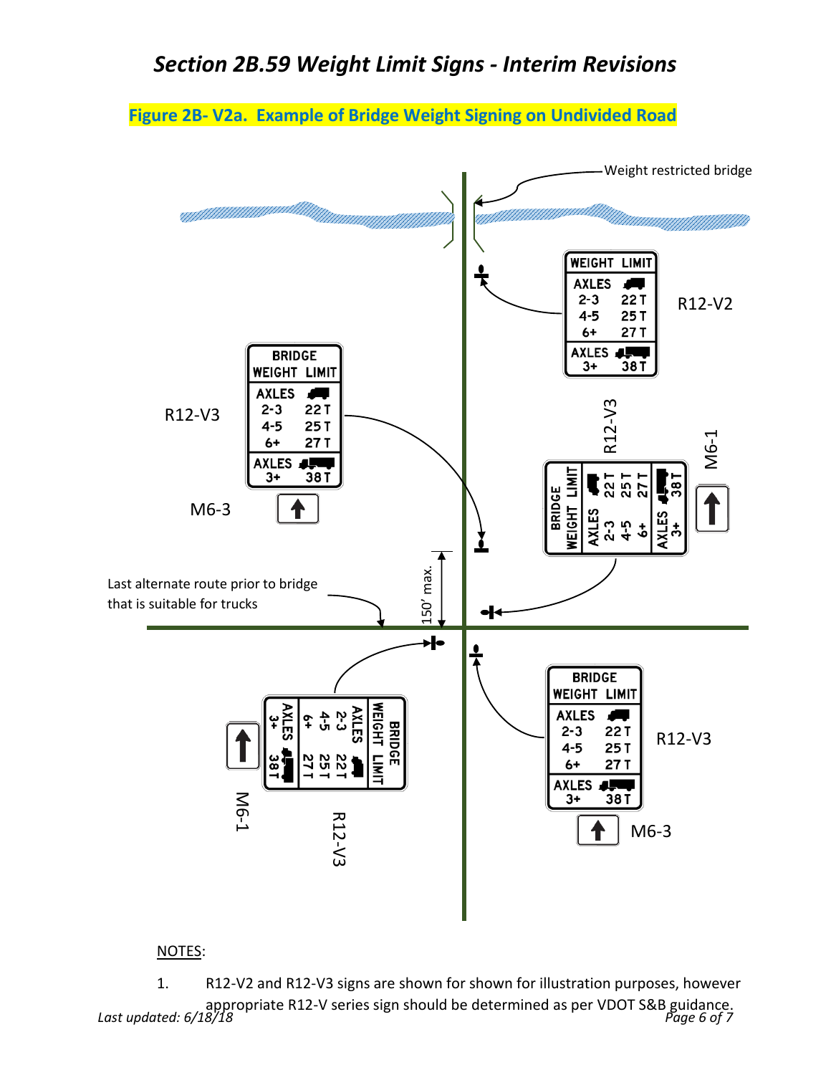**Figure 2B- V2a. Example of Bridge Weight Signing on Undivided Road**



### NOTES:

*Last updated: 6/18/18 Page 6 of 7* 1. R12-V2 and R12-V3 signs are shown for shown for illustration purposes, however appropriate R12-V series sign should be determined as per VDOT S&B guidance.